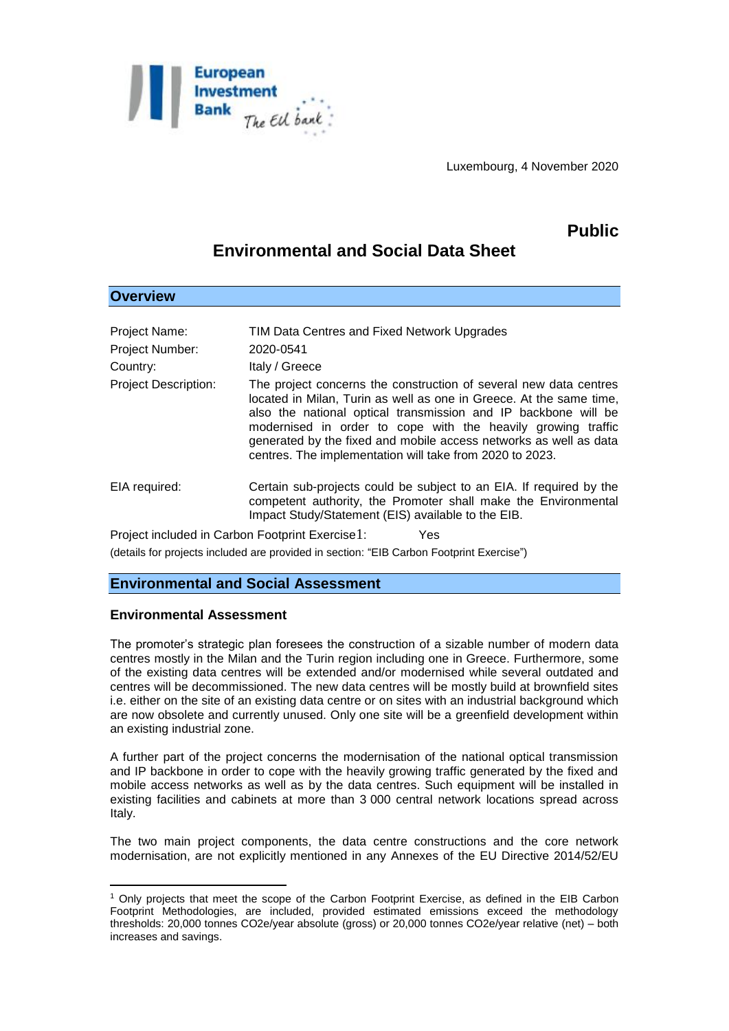

Luxembourg, 4 November 2020

# **Public**

## **Environmental and Social Data Sheet**

| Project Name:<br><b>Project Number:</b><br>Country:     | TIM Data Centres and Fixed Network Upgrades<br>2020-0541<br>Italy / Greece                                                                                                                                                                                                                                                                                                                                  |
|---------------------------------------------------------|-------------------------------------------------------------------------------------------------------------------------------------------------------------------------------------------------------------------------------------------------------------------------------------------------------------------------------------------------------------------------------------------------------------|
| <b>Project Description:</b>                             | The project concerns the construction of several new data centres<br>located in Milan, Turin as well as one in Greece. At the same time,<br>also the national optical transmission and IP backbone will be<br>modernised in order to cope with the heavily growing traffic<br>generated by the fixed and mobile access networks as well as data<br>centres. The implementation will take from 2020 to 2023. |
| EIA required:                                           | Certain sub-projects could be subject to an EIA. If required by the<br>competent authority, the Promoter shall make the Environmental<br>Impact Study/Statement (EIS) available to the EIB.                                                                                                                                                                                                                 |
| Project included in Carbon Footprint Exercise 1:<br>Yes |                                                                                                                                                                                                                                                                                                                                                                                                             |

(details for projects included are provided in section: "EIB Carbon Footprint Exercise")

### **Environmental and Social Assessment**

#### **Environmental Assessment**

1

**Overview**

The promoter's strategic plan foresees the construction of a sizable number of modern data centres mostly in the Milan and the Turin region including one in Greece. Furthermore, some of the existing data centres will be extended and/or modernised while several outdated and centres will be decommissioned. The new data centres will be mostly build at brownfield sites i.e. either on the site of an existing data centre or on sites with an industrial background which are now obsolete and currently unused. Only one site will be a greenfield development within an existing industrial zone.

A further part of the project concerns the modernisation of the national optical transmission and IP backbone in order to cope with the heavily growing traffic generated by the fixed and mobile access networks as well as by the data centres. Such equipment will be installed in existing facilities and cabinets at more than 3 000 central network locations spread across Italy.

The two main project components, the data centre constructions and the core network modernisation, are not explicitly mentioned in any Annexes of the EU Directive 2014/52/EU

<sup>1</sup> Only projects that meet the scope of the Carbon Footprint Exercise, as defined in the EIB Carbon Footprint Methodologies, are included, provided estimated emissions exceed the methodology thresholds: 20,000 tonnes CO2e/year absolute (gross) or 20,000 tonnes CO2e/year relative (net) – both increases and savings.